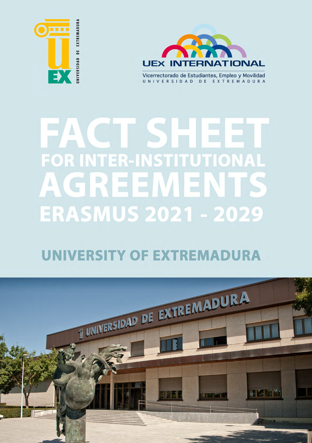



Vicerrectorado de Estudiantes, Empleo y Movilidad UNIVERSIDAD DE EXTREMADURA

## EACLSH 221 **FOR INTER-INSTITUTIONAL** AGREEMENT **ERASMUS 2021 - 2029**

## **UNIVERSITY OF EXTREMADURA**

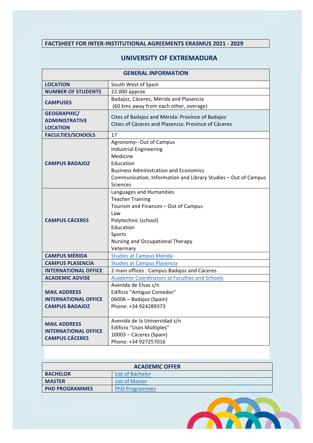## **FACTSHEET FOR INTER-INSTITUTIONAL AGREEMENTS ERASMUS 2021 - 2029**

## **UNIVERSITY OF EXTREMADURA**

| <b>GENERAL INFORMATION</b>  |                                                                 |  |  |
|-----------------------------|-----------------------------------------------------------------|--|--|
| <b>LOCATION</b>             | South West of Spain                                             |  |  |
| <b>NUMBER OF STUDENTS</b>   | $22.000$ approx                                                 |  |  |
| <b>CAMPUSES</b>             | Badajoz, Cáceres, Mérida and Plasencia                          |  |  |
|                             | (60 kms away from each other, overage)                          |  |  |
| <b>GEOGRAPHIC/</b>          | Cites of Badajoz and Mérida: Province of Badajoz                |  |  |
| <b>ADMINISTRATIVE</b>       | Cities of Cáceres and Plasencia: Province of Cáceres            |  |  |
| <b>LOCATION</b>             |                                                                 |  |  |
| <b>FACULTIES/SCHOOLS</b>    | 17                                                              |  |  |
|                             | Agronomy-Out of Campus                                          |  |  |
|                             | <b>Industrial Engineering</b>                                   |  |  |
|                             | Medicine                                                        |  |  |
| <b>CAMPUS BADAJOZ</b>       | Education                                                       |  |  |
|                             | <b>Business Administration and Economics</b>                    |  |  |
|                             | Communication, Information and Library Studies - Out of Campus  |  |  |
|                             | <b>Sciences</b>                                                 |  |  |
|                             | Languages and Humanities                                        |  |  |
|                             | <b>Teacher Training</b><br>Tourism and Finances - Out of Campus |  |  |
|                             | Law                                                             |  |  |
| <b>CAMPUS CÁCERES</b>       | Polytechnic (school)                                            |  |  |
|                             | Education                                                       |  |  |
|                             | Sports                                                          |  |  |
|                             | Nursing and Occupational Therapy                                |  |  |
|                             | Veterinary                                                      |  |  |
| <b>CAMPUS MÉRIDA</b>        | <b>Studies at Campus Mérida</b>                                 |  |  |
| <b>CAMPUS PLASENCIA</b>     | <b>Studies at Campus Plasencia</b>                              |  |  |
| <b>INTERNATIONAL OFFICE</b> | 2 main offices : Campus Badajoz and Cáceres                     |  |  |
| <b>ACADEMIC ADVISE</b>      | <b>Academic Coordinators at Faculties and Schools</b>           |  |  |
|                             | Avenida de Elvas s/n                                            |  |  |
| <b>MAIL ADDRESS</b>         | Edificio "Antiguo Comedor"                                      |  |  |
| <b>INTERNATIONAL OFFICE</b> | 06006 - Badajoz (Spain)                                         |  |  |
| <b>CAMPUS BADAJOZ</b>       | Phone: +34 924289373                                            |  |  |
|                             |                                                                 |  |  |
| <b>MAIL ADDRESS</b>         | Avenida de la Universidad s/n                                   |  |  |
| <b>INTERNATIONAL OFFICE</b> | Edificio "Usos Múltiples"                                       |  |  |
| <b>CAMPUS CÁCERES</b>       | 10003 - Cáceres (Spain)                                         |  |  |
|                             | Phone: +34 927257016                                            |  |  |

| <b>ACADEMIC OFFER</b> |                       |  |
|-----------------------|-----------------------|--|
| <b>BACHELOR</b>       | List of Bachelor      |  |
| <b>MASTER</b>         | List of Master        |  |
| <b>PHD PROGRAMMES</b> | <b>PhD Programmes</b> |  |